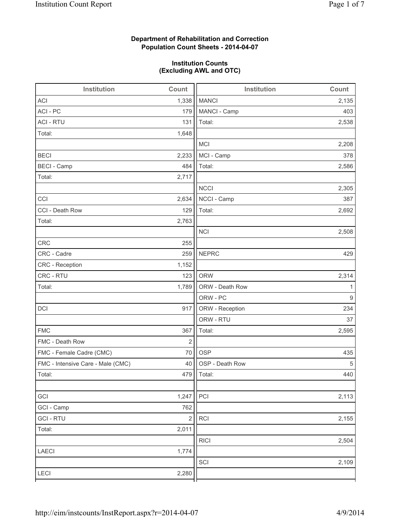# **Department of Rehabilitation and Correction Population Count Sheets - 2014-04-07**

### **Institution Counts (Excluding AWL and OTC)**

| Institution                       | Count          | Institution     | Count |
|-----------------------------------|----------------|-----------------|-------|
| <b>ACI</b>                        | 1,338          | <b>MANCI</b>    | 2,135 |
| ACI - PC                          | 179            | MANCI - Camp    | 403   |
| <b>ACI - RTU</b>                  | 131            | Total:          | 2,538 |
| Total:                            | 1,648          |                 |       |
|                                   |                | MCI             | 2,208 |
| <b>BECI</b>                       | 2,233          | MCI - Camp      | 378   |
| <b>BECI</b> - Camp                | 484            | Total:          | 2,586 |
| Total:                            | 2,717          |                 |       |
|                                   |                | <b>NCCI</b>     | 2,305 |
| CCI                               | 2,634          | NCCI - Camp     | 387   |
| CCI - Death Row                   | 129            | Total:          | 2,692 |
| Total:                            | 2,763          |                 |       |
|                                   |                | <b>NCI</b>      | 2,508 |
| <b>CRC</b>                        | 255            |                 |       |
| CRC - Cadre                       | 259            | <b>NEPRC</b>    | 429   |
| CRC - Reception                   | 1,152          |                 |       |
| CRC - RTU                         | 123            | <b>ORW</b>      | 2,314 |
| Total:                            | 1,789          | ORW - Death Row | 1     |
|                                   |                | ORW - PC        | 9     |
| DCI                               | 917            | ORW - Reception | 234   |
|                                   |                | ORW - RTU       | 37    |
| <b>FMC</b>                        | 367            | Total:          | 2,595 |
| FMC - Death Row                   | $\overline{2}$ |                 |       |
| FMC - Female Cadre (CMC)          | 70             | <b>OSP</b>      | 435   |
| FMC - Intensive Care - Male (CMC) | 40             | OSP - Death Row | 5     |
| Total:                            |                | 479   Total:    | 440   |
|                                   |                |                 |       |
| GCI                               | 1,247          | PCI             | 2,113 |
| GCI - Camp                        | 762            |                 |       |
| <b>GCI-RTU</b>                    | $\sqrt{2}$     | <b>RCI</b>      | 2,155 |
| Total:                            | 2,011          |                 |       |
|                                   |                | <b>RICI</b>     | 2,504 |
| <b>LAECI</b>                      | 1,774          |                 |       |
|                                   |                | SCI             | 2,109 |
| LECI                              | 2,280          |                 |       |
|                                   |                |                 |       |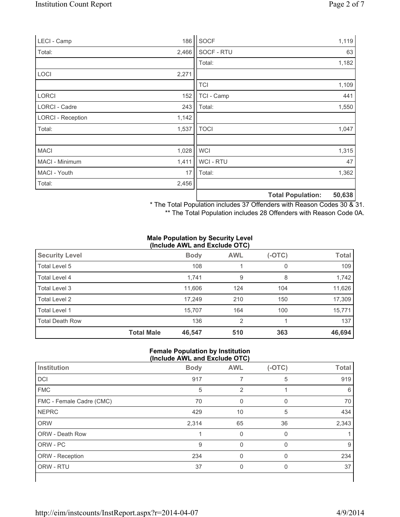| LECI - Camp              | 186   | SOCF        |                          | 1,119  |
|--------------------------|-------|-------------|--------------------------|--------|
| Total:                   | 2,466 | SOCF - RTU  |                          | 63     |
|                          |       | Total:      |                          | 1,182  |
| <b>LOCI</b>              | 2,271 |             |                          |        |
|                          |       | <b>TCI</b>  |                          | 1,109  |
| <b>LORCI</b>             | 152   | TCI - Camp  |                          | 441    |
| LORCI - Cadre            | 243   | Total:      |                          | 1,550  |
| <b>LORCI - Reception</b> | 1,142 |             |                          |        |
| Total:                   | 1,537 | <b>TOCI</b> |                          | 1,047  |
|                          |       |             |                          |        |
| <b>MACI</b>              | 1,028 | <b>WCI</b>  |                          | 1,315  |
| MACI - Minimum           | 1,411 | WCI - RTU   |                          | 47     |
| MACI - Youth             | 17    | Total:      |                          | 1,362  |
| Total:                   | 2,456 |             |                          |        |
|                          |       |             | <b>Total Population:</b> | 50,638 |

\* The Total Population includes 37 Offenders with Reason Codes 30 & 31.

\*\* The Total Population includes 28 Offenders with Reason Code 0A.

### **Male Population by Security Level (Include AWL and Exclude OTC)**

| <b>Security Level</b>  |                   | <b>Body</b> | <b>AWL</b>     | $(-OTC)$ | <b>Total</b> |  |
|------------------------|-------------------|-------------|----------------|----------|--------------|--|
| Total Level 5          |                   | 108         |                | 0        | 109          |  |
| Total Level 4          |                   | 1,741       | 9              | 8        | 1,742        |  |
| Total Level 3          |                   | 11,606      | 124            | 104      | 11,626       |  |
| Total Level 2          |                   | 17,249      | 210            | 150      | 17,309       |  |
| Total Level 1          |                   | 15,707      | 164            | 100      | 15,771       |  |
| <b>Total Death Row</b> |                   | 136         | $\overline{2}$ |          | 137          |  |
|                        | <b>Total Male</b> | 46,547      | 510            | 363      | 46,694       |  |

### **Female Population by Institution (Include AWL and Exclude OTC)**

| Institution              | <b>Body</b> | <b>AWL</b> | $(-OTC)$ | <b>Total</b> |
|--------------------------|-------------|------------|----------|--------------|
| DCI                      | 917         |            | 5        | 919          |
| <b>FMC</b>               | 5           | 2          |          | 6            |
| FMC - Female Cadre (CMC) | 70          | 0          |          | 70           |
| <b>NEPRC</b>             | 429         | 10         | 5        | 434          |
| <b>ORW</b>               | 2,314       | 65         | 36       | 2,343        |
| ORW - Death Row          |             | 0          | 0        |              |
| ORW - PC                 | 9           | $\Omega$   | $\Omega$ | 9            |
| ORW - Reception          | 234         |            |          | 234          |
| ORW - RTU                | 37          | 0          | $\Omega$ | 37           |
|                          |             |            |          |              |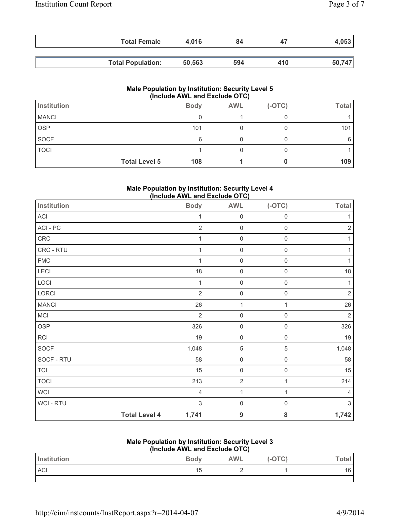| <b>Total Female</b>      | 4.016  | 84  | 47  | 4,053  |
|--------------------------|--------|-----|-----|--------|
| <b>Total Population:</b> | 50,563 | 594 | 410 | 50,747 |

| <b>Male Population by Institution: Security Level 5</b><br>(Include AWL and Exclude OTC) |                      |             |            |          |              |
|------------------------------------------------------------------------------------------|----------------------|-------------|------------|----------|--------------|
| <b>Institution</b>                                                                       |                      | <b>Body</b> | <b>AWL</b> | $(-OTC)$ | <b>Total</b> |
| <b>MANCI</b>                                                                             |                      |             |            |          |              |
| <b>OSP</b>                                                                               |                      | 101         |            |          | 101          |
| <b>SOCF</b>                                                                              |                      | 6           |            |          |              |
| <b>TOCI</b>                                                                              |                      |             |            |          |              |
|                                                                                          | <b>Total Level 5</b> | 108         |            |          | 109          |

## **Male Population by Institution: Security Level 4 (Include AWL and Exclude OTC)**

| <b>Institution</b>         |                      | <b>Body</b>    | <b>AWL</b>          | $(-OTC)$            | <b>Total</b>              |
|----------------------------|----------------------|----------------|---------------------|---------------------|---------------------------|
| $\boldsymbol{\mathsf{AC}}$ |                      | 1              | $\mathbf 0$         | $\mathbf 0$         | 1                         |
| ACI - PC                   |                      | $\sqrt{2}$     | $\mathsf 0$         | $\mathsf 0$         | $\mathbf 2$               |
| ${\sf CRC}$                |                      | $\mathbf{1}$   | $\mathbf 0$         | $\mathbf 0$         |                           |
| CRC - RTU                  |                      | $\mathbf{1}$   | $\mathsf{O}\xspace$ | $\mathbf 0$         |                           |
| <b>FMC</b>                 |                      | 1              | $\mathbf 0$         | $\mathbf 0$         | 1                         |
| LECI                       |                      | 18             | $\mathbf 0$         | $\mathbf 0$         | 18                        |
| LOCI                       |                      | $\mathbf 1$    | $\mathbf 0$         | $\mathbf 0$         | $\mathbf{1}$              |
| LORCI                      |                      | $\overline{2}$ | $\mathbf 0$         | $\mathbf 0$         | $\sqrt{2}$                |
| <b>MANCI</b>               |                      | 26             | 1                   | 1                   | 26                        |
| MCI                        |                      | $\overline{2}$ | $\mathbf 0$         | $\mathbf 0$         | $\overline{2}$            |
| <b>OSP</b>                 |                      | 326            | $\mathbf 0$         | $\mathbf 0$         | 326                       |
| RCI                        |                      | 19             | $\mathbf 0$         | $\mathbf 0$         | $19$                      |
| SOCF                       |                      | 1,048          | 5                   | $\overline{5}$      | 1,048                     |
| SOCF - RTU                 |                      | 58             | $\mathbf 0$         | $\mathbf 0$         | 58                        |
| <b>TCI</b>                 |                      | 15             | $\mathbf 0$         | $\mathbf 0$         | 15                        |
| <b>TOCI</b>                |                      | 213            | $\overline{c}$      | 1                   | 214                       |
| <b>WCI</b>                 |                      | $\overline{4}$ | $\mathbf{1}$        | 1                   | 4                         |
| WCI - RTU                  |                      | 3              | $\mathsf 0$         | $\mathsf{O}\xspace$ | $\ensuremath{\mathsf{3}}$ |
|                            | <b>Total Level 4</b> | 1,741          | $\boldsymbol{9}$    | ${\bf 8}$           | 1,742                     |

# **Male Population by Institution: Security Level 3**

| (Include AWL and Exclude OTC) |             |            |          |         |  |
|-------------------------------|-------------|------------|----------|---------|--|
| <b>Institution</b>            | <b>Body</b> | <b>AWL</b> | $(-OTC)$ | Total . |  |
| <b>ACI</b>                    | 15          |            |          |         |  |
|                               |             |            |          |         |  |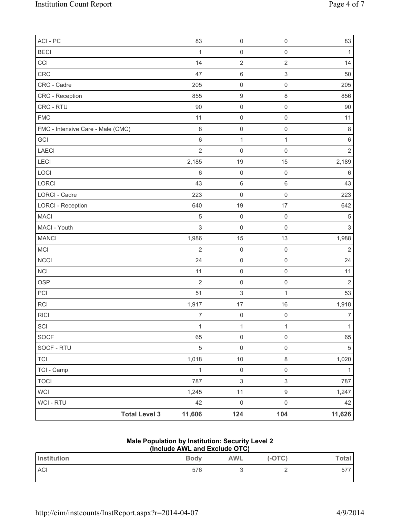| ACI - PC                          |                      | 83             | $\mathsf{O}\xspace$       | $\boldsymbol{0}$    | 83             |
|-----------------------------------|----------------------|----------------|---------------------------|---------------------|----------------|
| <b>BECI</b>                       |                      | 1              | $\mathsf{O}\xspace$       | $\mathbf 0$         | $\mathbf{1}$   |
| CCI                               |                      | 14             | $\overline{2}$            | $\sqrt{2}$          | 14             |
| CRC                               |                      | 47             | $\,6$                     | 3                   | 50             |
| CRC - Cadre                       |                      | 205            | $\mathsf{O}\xspace$       | $\mathsf 0$         | 205            |
| CRC - Reception                   |                      | 855            | $\boldsymbol{9}$          | 8                   | 856            |
| CRC - RTU                         |                      | 90             | $\mathsf 0$               | $\mathsf 0$         | $90\,$         |
| <b>FMC</b>                        |                      | 11             | $\mathsf 0$               | $\mathsf 0$         | 11             |
| FMC - Intensive Care - Male (CMC) |                      | $\,8\,$        | $\mathsf{O}\xspace$       | $\mathsf{O}\xspace$ | $\,8\,$        |
| GCI                               |                      | $\,6\,$        | $\mathbf 1$               | $\mathbf 1$         | $\,6\,$        |
| LAECI                             |                      | $\overline{2}$ | $\mathsf{O}\xspace$       | $\mathsf{O}\xspace$ | $\overline{2}$ |
| <b>LECI</b>                       |                      | 2,185          | 19                        | 15                  | 2,189          |
| LOCI                              |                      | $\,6\,$        | $\mathsf{O}\xspace$       | $\mathsf 0$         | $\,6$          |
| LORCI                             |                      | 43             | $\,6$                     | $\,6\,$             | 43             |
| <b>LORCI - Cadre</b>              |                      | 223            | $\mathsf 0$               | $\mathsf 0$         | 223            |
| <b>LORCI - Reception</b>          |                      | 640            | 19                        | 17                  | 642            |
| <b>MACI</b>                       |                      | 5              | $\mathsf 0$               | $\mathsf 0$         | 5              |
| MACI - Youth                      |                      | 3              | $\mathsf 0$               | $\mathsf 0$         | $\mathfrak{S}$ |
| <b>MANCI</b>                      |                      | 1,986          | 15                        | 13                  | 1,988          |
| MCI                               |                      | $\overline{2}$ | $\mathsf 0$               | $\mathsf 0$         | $\overline{2}$ |
| NCCI                              |                      | 24             | $\mathsf{O}\xspace$       | $\mathsf 0$         | 24             |
| <b>NCI</b>                        |                      | 11             | $\mathsf{O}\xspace$       | $\mathsf{O}\xspace$ | 11             |
| OSP                               |                      | $\overline{2}$ | $\mathsf{O}\xspace$       | $\mathsf 0$         | $\mathbf 2$    |
| PCI                               |                      | 51             | $\ensuremath{\mathsf{3}}$ | $\mathbf 1$         | 53             |
| <b>RCI</b>                        |                      | 1,917          | 17                        | 16                  | 1,918          |
| <b>RICI</b>                       |                      | $\overline{7}$ | $\mathsf 0$               | $\mathbf 0$         | $\overline{7}$ |
| SCI                               |                      | $\mathbf{1}$   | $\mathbf{1}$              | $\mathbf{1}$        | $\mathbf{1}$   |
| SOCF                              |                      | 65             | $\mathsf{O}\xspace$       | $\mathsf{O}\xspace$ | 65             |
| SOCF - RTU                        |                      | $\sqrt{5}$     | $\mathsf{O}\xspace$       | $\mathsf{O}\xspace$ | 5              |
| <b>TCI</b>                        |                      | 1,018          | $10$                      | $\,8\,$             | 1,020          |
| TCI - Camp                        |                      | $\mathbf{1}$   | $\mathsf 0$               | $\mathsf{O}\xspace$ | $\mathbf{1}$   |
| <b>TOCI</b>                       |                      | 787            | $\mathsf 3$               | $\mathfrak{S}$      | 787            |
| WCI                               |                      | 1,245          | 11                        | $\boldsymbol{9}$    | 1,247          |
| WCI - RTU                         |                      | 42             | $\mathsf{O}\xspace$       | $\mathsf{O}\xspace$ | 42             |
|                                   | <b>Total Level 3</b> | 11,606         | 124                       | 104                 | 11,626         |

# **Male Population by Institution: Security Level 2**

| (Include AWL and Exclude OTC) |             |            |        |       |  |
|-------------------------------|-------------|------------|--------|-------|--|
| <b>Institution</b>            | <b>Body</b> | <b>AWL</b> | (-OTC) | Total |  |
| <b>ACI</b>                    | 576         |            |        | 577   |  |
|                               |             |            |        |       |  |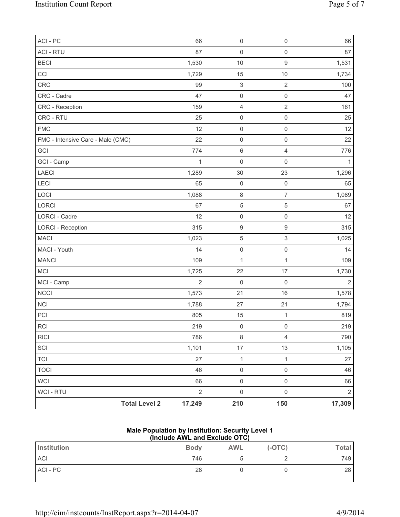| ACI - PC                          | 66             | $\mathsf{O}\xspace$       | $\mathsf{O}\xspace$ | 66             |
|-----------------------------------|----------------|---------------------------|---------------------|----------------|
| <b>ACI - RTU</b>                  | 87             | $\mathsf{O}\xspace$       | $\mathsf{O}\xspace$ | 87             |
| <b>BECI</b>                       | 1,530          | 10                        | $\hbox{9}$          | 1,531          |
| CCI                               | 1,729          | 15                        | 10                  | 1,734          |
| CRC                               | 99             | $\ensuremath{\mathsf{3}}$ | $\overline{2}$      | 100            |
| CRC - Cadre                       | 47             | $\mathsf{O}\xspace$       | $\mathsf{O}\xspace$ | 47             |
| CRC - Reception                   | 159            | $\overline{4}$            | $\sqrt{2}$          | 161            |
| CRC - RTU                         | 25             | $\mathsf{O}\xspace$       | $\mathsf{O}\xspace$ | 25             |
| <b>FMC</b>                        | 12             | $\mathsf{O}\xspace$       | $\mathsf{O}\xspace$ | 12             |
| FMC - Intensive Care - Male (CMC) | 22             | $\mathsf{O}\xspace$       | $\mathsf{O}\xspace$ | 22             |
| GCI                               | 774            | $\,$ 6 $\,$               | 4                   | 776            |
| GCI - Camp                        | $\mathbf 1$    | $\mathsf{O}\xspace$       | 0                   | 1              |
| LAECI                             | 1,289          | 30                        | 23                  | 1,296          |
| LECI                              | 65             | $\mathbf 0$               | $\mathsf{O}\xspace$ | 65             |
| LOCI                              | 1,088          | $\,8\,$                   | $\overline{7}$      | 1,089          |
| <b>LORCI</b>                      | 67             | $\,$ 5 $\,$               | $\,$ 5 $\,$         | 67             |
| <b>LORCI - Cadre</b>              | 12             | $\mathsf{O}\xspace$       | $\mathsf{O}\xspace$ | 12             |
| <b>LORCI - Reception</b>          | 315            | $\hbox{9}$                | $\hbox{9}$          | 315            |
| <b>MACI</b>                       | 1,023          | $\mathbf 5$               | 3                   | 1,025          |
| MACI - Youth                      | 14             | $\mathsf{O}\xspace$       | $\mathsf{O}\xspace$ | 14             |
| <b>MANCI</b>                      | 109            | $\mathbf 1$               | $\mathbf 1$         | 109            |
| MCI                               | 1,725          | 22                        | 17                  | 1,730          |
| MCI - Camp                        | $\overline{2}$ | 0                         | $\mathbf 0$         | $\overline{2}$ |
| <b>NCCI</b>                       | 1,573          | 21                        | 16                  | 1,578          |
| <b>NCI</b>                        | 1,788          | 27                        | 21                  | 1,794          |
| PCI                               | 805            | 15                        | $\mathbf{1}$        | 819            |
| RCI                               | 219            | $\mathsf{O}\xspace$       | 0                   | 219            |
| <b>RICI</b>                       | 786            | $\,8\,$                   | $\overline{4}$      | 790            |
| SCI                               | 1,101          | $17$                      | 13                  | 1,105          |
| <b>TCI</b>                        | 27             | $\mathbf{1}$              | $\mathbf 1$         | 27             |
| <b>TOCI</b>                       | 46             | $\mathsf{O}\xspace$       | $\mathsf{O}\xspace$ | 46             |
| WCI                               | 66             | $\mathsf 0$               | $\mathbf 0$         | 66             |
| <b>WCI - RTU</b>                  | $\overline{2}$ | $\mathsf{O}\xspace$       | $\mathsf 0$         | $\overline{2}$ |
| <b>Total Level 2</b>              | 17,249         | 210                       | 150                 | 17,309         |

#### **Male Population by Institution: Security Level 1 (Include AWL and Exclude OTC)**

| Institution | <b>Body</b> | <b>AWL</b> | $(-OTC)$ | Total <sub>1</sub> |
|-------------|-------------|------------|----------|--------------------|
| <b>ACI</b>  | 746         |            |          | 749                |
| ACI - PC    | 28          |            |          | 28                 |
|             |             |            |          |                    |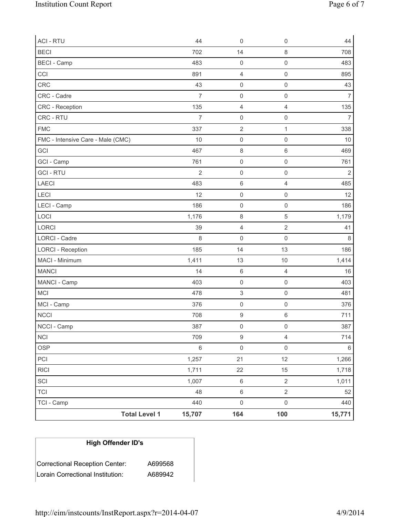| <b>ACI - RTU</b>                  | 44             | $\mathbf 0$               | 0                   | 44             |
|-----------------------------------|----------------|---------------------------|---------------------|----------------|
| <b>BECI</b>                       | 702            | 14                        | 8                   | 708            |
| <b>BECI</b> - Camp                | 483            | $\mathsf{O}\xspace$       | $\mathsf{O}\xspace$ | 483            |
| CCI                               | 891            | $\overline{4}$            | $\mathsf 0$         | 895            |
| <b>CRC</b>                        | 43             | $\mathsf 0$               | $\mathsf{O}\xspace$ | 43             |
| CRC - Cadre                       | $\overline{7}$ | $\mathsf 0$               | $\mathsf{O}\xspace$ | $\overline{7}$ |
| CRC - Reception                   | 135            | $\overline{4}$            | $\overline{4}$      | 135            |
| CRC - RTU                         | $\overline{7}$ | $\mathsf 0$               | $\mathsf{O}\xspace$ | $\overline{7}$ |
| <b>FMC</b>                        | 337            | $\sqrt{2}$                | $\mathbf{1}$        | 338            |
| FMC - Intensive Care - Male (CMC) | 10             | $\mathsf 0$               | $\mathsf{O}\xspace$ | 10             |
| GCI                               | 467            | $\,8\,$                   | $\,6$               | 469            |
| GCI - Camp                        | 761            | $\mathsf{O}\xspace$       | $\mathsf{O}\xspace$ | 761            |
| <b>GCI-RTU</b>                    | $\overline{2}$ | $\mathsf{O}\xspace$       | $\mathsf{O}\xspace$ | $\overline{2}$ |
| <b>LAECI</b>                      | 483            | $\,6\,$                   | $\overline{4}$      | 485            |
| LECI                              | 12             | $\mathsf 0$               | $\mathsf{O}\xspace$ | 12             |
| LECI - Camp                       | 186            | $\mathbf 0$               | $\mathsf{O}\xspace$ | 186            |
| LOCI                              | 1,176          | $\,8\,$                   | $\overline{5}$      | 1,179          |
| LORCI                             | 39             | $\overline{4}$            | $\overline{2}$      | 41             |
| LORCI - Cadre                     | 8              | $\mathsf 0$               | $\mathsf{O}\xspace$ | 8              |
| <b>LORCI - Reception</b>          | 185            | 14                        | 13                  | 186            |
| MACI - Minimum                    | 1,411          | 13                        | $10$                | 1,414          |
| <b>MANCI</b>                      | 14             | $\,6\,$                   | $\overline{4}$      | 16             |
| MANCI - Camp                      | 403            | $\mathbf 0$               | $\mathsf{O}\xspace$ | 403            |
| <b>MCI</b>                        | 478            | $\ensuremath{\mathsf{3}}$ | $\mathsf{O}\xspace$ | 481            |
| MCI - Camp                        | 376            | $\mathbf 0$               | $\mathsf{O}\xspace$ | 376            |
| <b>NCCI</b>                       | 708            | $\boldsymbol{9}$          | 6                   | 711            |
| NCCI - Camp                       | 387            | $\mathsf{O}\xspace$       | $\mathsf{O}\xspace$ | 387            |
| <b>NCI</b>                        | 709            | $\boldsymbol{9}$          | $\overline{4}$      | 714            |
| <b>OSP</b>                        | $6\,$          | $\mathsf{O}\xspace$       | $\mathsf{O}\xspace$ | 6              |
| PCI                               | 1,257          | 21                        | 12                  | 1,266          |
| <b>RICI</b>                       | 1,711          | 22                        | 15                  | 1,718          |
| SCI                               | 1,007          | $\,6\,$                   | $\overline{2}$      | 1,011          |
| <b>TCI</b>                        | 48             | $\,6\,$                   | $\overline{2}$      | 52             |
| TCI - Camp                        | 440            | $\mathbf 0$               | $\mathsf{O}\xspace$ | 440            |
| <b>Total Level 1</b>              | 15,707         | 164                       | 100                 | 15,771         |

# **High Offender ID's**

| Correctional Reception Center:   | A699568 |
|----------------------------------|---------|
| Lorain Correctional Institution: | A689942 |